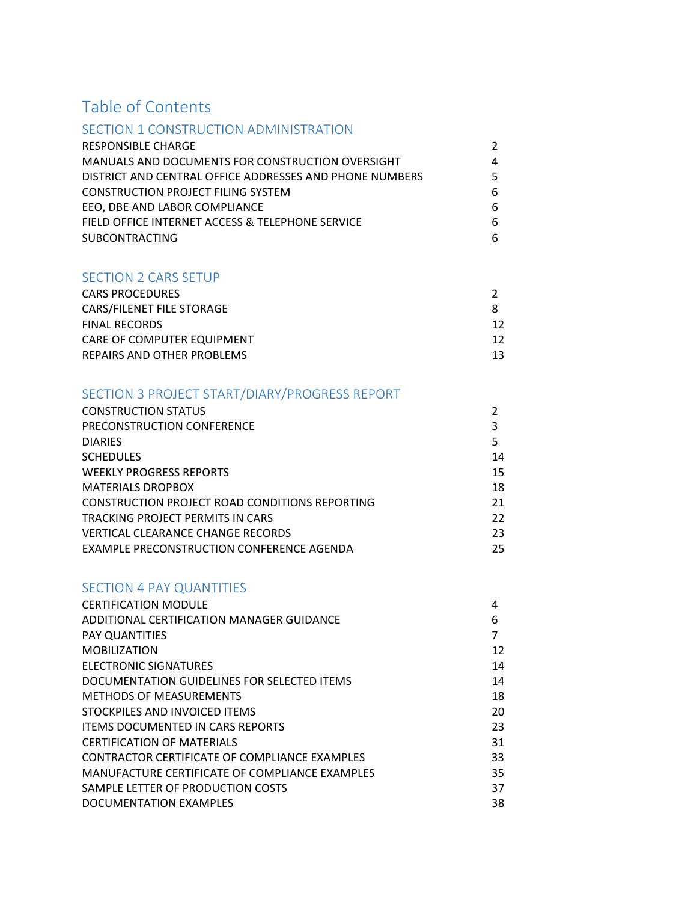# Table of Contents

### SECTION 1 CONSTRUCTION ADMINISTRATION

| RESPONSIBLE CHARGE                                      |   |
|---------------------------------------------------------|---|
| MANUALS AND DOCUMENTS FOR CONSTRUCTION OVERSIGHT        | 4 |
| DISTRICT AND CENTRAL OFFICE ADDRESSES AND PHONE NUMBERS | 5 |
| <b>CONSTRUCTION PROJECT FILING SYSTEM</b>               | 6 |
| EEO. DBE AND LABOR COMPLIANCE                           | 6 |
| FIELD OFFICE INTERNET ACCESS & TELEPHONE SERVICE        | 6 |
| <b>SUBCONTRACTING</b>                                   | 6 |

### SECTION 2 CARS SETUP

| <b>CARS PROCEDURES</b>     |    |
|----------------------------|----|
| CARS/FILENET FILE STORAGE  |    |
| <b>FINAL RECORDS</b>       | 12 |
| CARE OF COMPUTER EQUIPMENT | 12 |
| REPAIRS AND OTHER PROBLEMS | 13 |

# SECTION 3 PROJECT START/DIARY/PROGRESS REPORT

| <b>CONSTRUCTION STATUS</b>                            |    |
|-------------------------------------------------------|----|
| PRECONSTRUCTION CONFERENCE                            | 3  |
| <b>DIARIES</b>                                        | 5  |
| <b>SCHEDULES</b>                                      | 14 |
| <b>WEEKLY PROGRESS REPORTS</b>                        | 15 |
| <b>MATERIALS DROPBOX</b>                              | 18 |
| <b>CONSTRUCTION PROJECT ROAD CONDITIONS REPORTING</b> | 21 |
| TRACKING PROJECT PERMITS IN CARS                      | 22 |
| VERTICAL CLEARANCE CHANGE RECORDS                     | 23 |
| EXAMPLE PRECONSTRUCTION CONFERENCE AGENDA             | 25 |

### SECTION 4 PAY QUANTITIES

| <b>CERTIFICATION MODULE</b>                    | 4  |
|------------------------------------------------|----|
| ADDITIONAL CERTIFICATION MANAGER GUIDANCE      | 6  |
| <b>PAY QUANTITIES</b>                          | 7  |
| <b>MOBILIZATION</b>                            | 12 |
| ELECTRONIC SIGNATURES                          | 14 |
| DOCUMENTATION GUIDELINES FOR SELECTED ITEMS    | 14 |
| <b>METHODS OF MEASUREMENTS</b>                 | 18 |
| STOCKPILES AND INVOICED ITEMS                  | 20 |
| <b>ITEMS DOCUMENTED IN CARS REPORTS</b>        | 23 |
| <b>CERTIFICATION OF MATERIALS</b>              | 31 |
| CONTRACTOR CERTIFICATE OF COMPLIANCE EXAMPLES  | 33 |
| MANUFACTURE CERTIFICATE OF COMPLIANCE EXAMPLES | 35 |
| SAMPLE LETTER OF PRODUCTION COSTS              | 37 |
| DOCUMENTATION EXAMPLES                         | 38 |